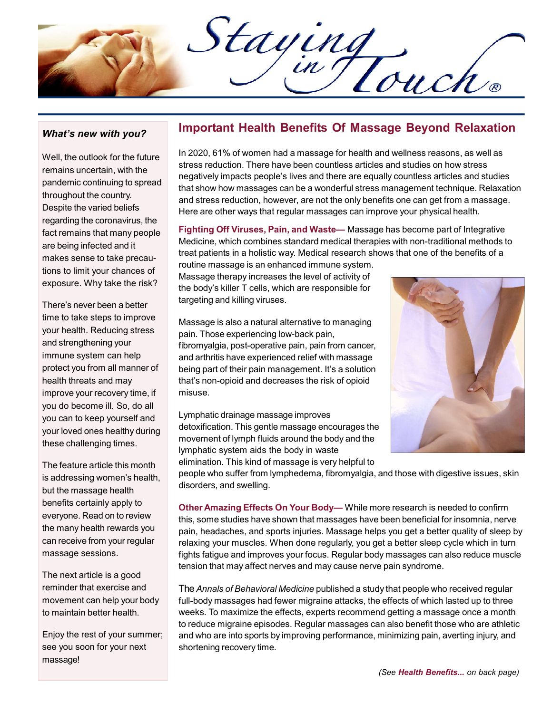Staying

## What's new with you?

Well, the outlook for the future remains uncertain, with the pandemic continuing to spread throughout the country. Despite the varied beliefs regarding the coronavirus, the fact remains that many people are being infected and it makes sense to take precautions to limit your chances of exposure. Why take the risk?

There's never been a better time to take steps to improve your health. Reducing stress and strengthening your immune system can help protect you from all manner of health threats and may improve your recovery time, if you do become ill. So, do all you can to keep yourself and your loved ones healthy during these challenging times.

The feature article this month is addressing women's health, but the massage health benefits certainly apply to everyone. Read on to review the many health rewards you can receive from your regular massage sessions.

The next article is a good reminder that exercise and movement can help your body to maintain better health.

Enjoy the rest of your summer; see you soon for your next massage!

## Important Health Benefits Of Massage Beyond Relaxation

In 2020, 61% of women had a massage for health and wellness reasons, as well as stress reduction. There have been countless articles and studies on how stress negatively impacts people's lives and there are equally countless articles and studies that show how massages can be a wonderful stress management technique. Relaxation and stress reduction, however, are not the only benefits one can get from a massage. Here are other ways that regular massages can improve your physical health.

Fighting Off Viruses, Pain, and Waste— Massage has become part of Integrative Medicine, which combines standard medical therapies with non-traditional methods to treat patients in a holistic way. Medical research shows that one of the benefits of a

routine massage is an enhanced immune system. Massage therapy increases the level of activity of the body's killer T cells, which are responsible for targeting and killing viruses.

Massage is also a natural alternative to managing pain. Those experiencing low-back pain, fibromyalgia, post-operative pain, pain from cancer, and arthritis have experienced relief with massage being part of their pain management. It's a solution that's non-opioid and decreases the risk of opioid misuse.

Lymphatic drainage massage improves detoxification. This gentle massage encourages the movement of lymph fluids around the body and the lymphatic system aids the body in waste elimination. This kind of massage is very helpful to



people who suffer from lymphedema, fibromyalgia, and those with digestive issues, skin disorders, and swelling.

Other Amazing Effects On Your Body— While more research is needed to confirm this, some studies have shown that massages have been beneficial for insomnia, nerve pain, headaches, and sports injuries. Massage helps you get a better quality of sleep by relaxing your muscles. When done regularly, you get a better sleep cycle which in turn fights fatigue and improves your focus. Regular body massages can also reduce muscle tension that may affect nerves and may cause nerve pain syndrome.

The Annals of Behavioral Medicine published a study that people who received regular full-body massages had fewer migraine attacks, the effects of which lasted up to three weeks. To maximize the effects, experts recommend getting a massage once a month to reduce migraine episodes. Regular massages can also benefit those who are athletic and who are into sports by improving performance, minimizing pain, averting injury, and shortening recovery time.